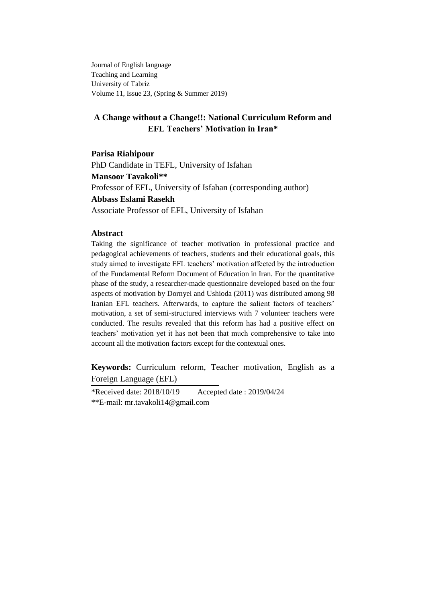Journal of English language Teaching and Learning University of Tabriz Volume 11, Issue 23, (Spring & Summer 2019)

# **A Change without a Change!!: National Curriculum Reform and EFL Teachers' Motivation in Iran\***

**Parisa Riahipour** PhD Candidate in TEFL, University of Isfahan **Mansoor Tavakoli\*\*** Professor of EFL, University of Isfahan (corresponding author) **Abbass Eslami Rasekh**  Associate Professor of EFL, University of Isfahan

## **Abstract**

Taking the significance of teacher motivation in professional practice and pedagogical achievements of teachers, students and their educational goals, this study aimed to investigate EFL teachers" motivation affected by the introduction of the Fundamental Reform Document of Education in Iran. For the quantitative phase of the study, a researcher-made questionnaire developed based on the four aspects of motivation by Dornyei and Ushioda (2011) was distributed among 98 Iranian EFL teachers. Afterwards, to capture the salient factors of teachers' motivation, a set of semi-structured interviews with 7 volunteer teachers were conducted. The results revealed that this reform has had a positive effect on teachers" motivation yet it has not been that much comprehensive to take into account all the motivation factors except for the contextual ones.

**Keywords:** Curriculum reform, Teacher motivation, English as a Foreign Language (EFL)

\*Received date: 2018/10/19 Accepted date : 2019/04/24 \*\*E-mail: [mr.tavakoli14@gmail.com](mailto:mr.tavakoli14@gmail.com)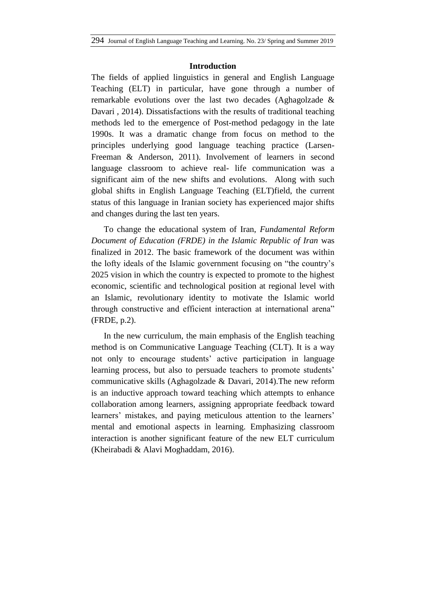### **Introduction**

The fields of applied linguistics in general and English Language Teaching (ELT) in particular, have gone through a number of remarkable evolutions over the last two decades (Aghagolzade & Davari , 2014). Dissatisfactions with the results of traditional teaching methods led to the emergence of Post-method pedagogy in the late 1990s. It was a dramatic change from focus on method to the principles underlying good language teaching practice (Larsen-Freeman & Anderson, 2011). Involvement of learners in second language classroom to achieve real- life communication was a significant aim of the new shifts and evolutions. Along with such global shifts in English Language Teaching (ELT)field, the current status of this language in Iranian society has experienced major shifts and changes during the last ten years.

To change the educational system of Iran, *Fundamental Reform Document of Education (FRDE) in the Islamic Republic of Iran* was finalized in 2012. The basic framework of the document was within the lofty ideals of the Islamic government focusing on "the country"s 2025 vision in which the country is expected to promote to the highest economic, scientific and technological position at regional level with an Islamic, revolutionary identity to motivate the Islamic world through constructive and efficient interaction at international arena" (FRDE, p.2).

In the new curriculum, the main emphasis of the English teaching method is on Communicative Language Teaching (CLT). It is a way not only to encourage students' active participation in language learning process, but also to persuade teachers to promote students' communicative skills (Aghagolzade & Davari, 2014).The new reform is an inductive approach toward teaching which attempts to enhance collaboration among learners, assigning appropriate feedback toward learners' mistakes, and paying meticulous attention to the learners' mental and emotional aspects in learning. Emphasizing classroom interaction is another significant feature of the new ELT curriculum (Kheirabadi & Alavi Moghaddam, 2016).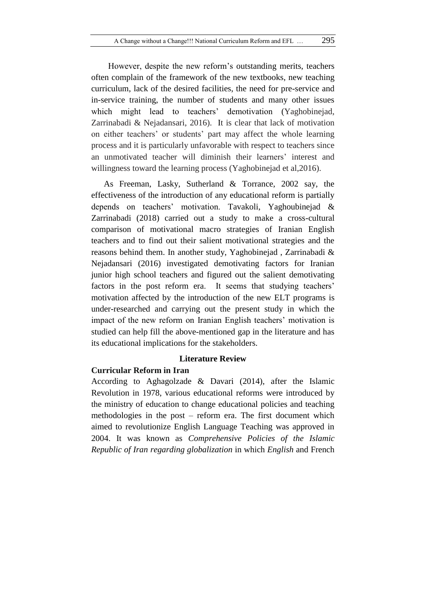However, despite the new reform"s outstanding merits, teachers often complain of the framework of the new textbooks, new teaching curriculum, lack of the desired facilities, the need for pre-service and in-service training, the number of students and many other issues which might lead to teachers' demotivation (Yaghobinejad, Zarrinabadi & Nejadansari, 2016). It is clear that lack of motivation on either teachers" or students" part may affect the whole learning process and it is particularly unfavorable with respect to teachers since an unmotivated teacher will diminish their learners' interest and willingness toward the learning process (Yaghobinejad et al,2016).

As Freeman, Lasky, Sutherland & Torrance, 2002 say, the effectiveness of the introduction of any educational reform is partially depends on teachers" motivation. Tavakoli, Yaghoubinejad & Zarrinabadi (2018) carried out a study to make a cross-cultural comparison of motivational macro strategies of Iranian English teachers and to find out their salient motivational strategies and the reasons behind them. In another study, Yaghobinejad , Zarrinabadi & Nejadansari (2016) investigated demotivating factors for Iranian junior high school teachers and figured out the salient demotivating factors in the post reform era. It seems that studying teachers' motivation affected by the introduction of the new ELT programs is under-researched and carrying out the present study in which the impact of the new reform on Iranian English teachers' motivation is studied can help fill the above-mentioned gap in the literature and has its educational implications for the stakeholders.

# **Literature Review**

#### **Curricular Reform in Iran**

According to Aghagolzade & Davari (2014), after the Islamic Revolution in 1978, various educational reforms were introduced by the ministry of education to change educational policies and teaching methodologies in the post – reform era. The first document which aimed to revolutionize English Language Teaching was approved in 2004. It was known as *Comprehensive Policies of the Islamic Republic of Iran regarding globalization* in which *English* and French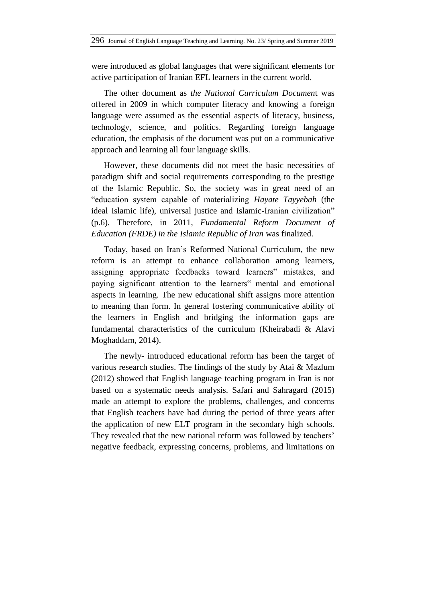were introduced as global languages that were significant elements for active participation of Iranian EFL learners in the current world.

The other document as *the National Curriculum Documen*t was offered in 2009 in which computer literacy and knowing a foreign language were assumed as the essential aspects of literacy, business, technology, science, and politics. Regarding foreign language education, the emphasis of the document was put on a communicative approach and learning all four language skills.

However, these documents did not meet the basic necessities of paradigm shift and social requirements corresponding to the prestige of the Islamic Republic. So, the society was in great need of an "education system capable of materializing *Hayate Tayyebah* (the ideal Islamic life), universal justice and Islamic-Iranian civilization" (p.6). Therefore, in 2011, *Fundamental Reform Document of Education (FRDE) in the Islamic Republic of Iran* was finalized.

Today, based on Iran"s Reformed National Curriculum, the new reform is an attempt to enhance collaboration among learners, assigning appropriate feedbacks toward learners" mistakes, and paying significant attention to the learners" mental and emotional aspects in learning. The new educational shift assigns more attention to meaning than form. In general fostering communicative ability of the learners in English and bridging the information gaps are fundamental characteristics of the curriculum (Kheirabadi & Alavi Moghaddam, 2014).

The newly- introduced educational reform has been the target of various research studies. The findings of the study by Atai & Mazlum (2012) showed that English language teaching program in Iran is not based on a systematic needs analysis. Safari and Sahragard (2015) made an attempt to explore the problems, challenges, and concerns that English teachers have had during the period of three years after the application of new ELT program in the secondary high schools. They revealed that the new national reform was followed by teachers' negative feedback, expressing concerns, problems, and limitations on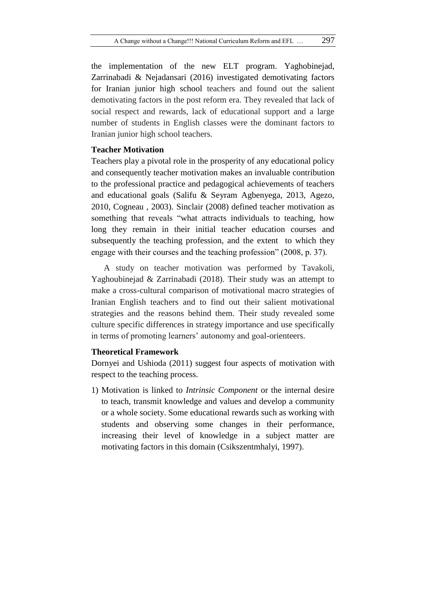the implementation of the new ELT program. Yaghobinejad, Zarrinabadi & Nejadansari (2016) investigated demotivating factors for Iranian junior high school teachers and found out the salient demotivating factors in the post reform era. They revealed that lack of social respect and rewards, lack of educational support and a large number of students in English classes were the dominant factors to Iranian junior high school teachers.

## **Teacher Motivation**

Teachers play a pivotal role in the prosperity of any educational policy and consequently teacher motivation makes an invaluable contribution to the professional practice and pedagogical achievements of teachers and educational goals (Salifu & Seyram Agbenyega, 2013, Agezo, 2010, Cogneau , 2003). Sinclair (2008) defined teacher motivation as something that reveals "what attracts individuals to teaching, how long they remain in their initial teacher education courses and subsequently the teaching profession, and the extent to which they engage with their courses and the teaching profession" (2008, p. 37).

A study on teacher motivation was performed by Tavakoli, Yaghoubinejad & Zarrinabadi (2018). Their study was an attempt to make a cross-cultural comparison of motivational macro strategies of Iranian English teachers and to find out their salient motivational strategies and the reasons behind them. Their study revealed some culture specific differences in strategy importance and use specifically in terms of promoting learners' autonomy and goal-orienteers.

# **Theoretical Framework**

Dornyei and Ushioda (2011) suggest four aspects of motivation with respect to the teaching process.

1) Motivation is linked to *Intrinsic Component* or the internal desire to teach, transmit knowledge and values and develop a community or a whole society. Some educational rewards such as working with students and observing some changes in their performance, increasing their level of knowledge in a subject matter are motivating factors in this domain (Csikszentmhalyi, 1997).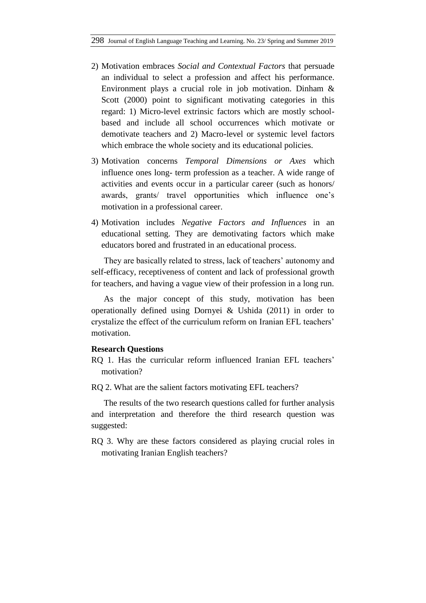- 2) Motivation embraces *Social and Contextual Factors* that persuade an individual to select a profession and affect his performance. Environment plays a crucial role in job motivation. Dinham & Scott (2000) point to significant motivating categories in this regard: 1) Micro-level extrinsic factors which are mostly schoolbased and include all school occurrences which motivate or demotivate teachers and 2) Macro-level or systemic level factors which embrace the whole society and its educational policies.
- 3) Motivation concerns *Temporal Dimensions or Axes* which influence ones long- term profession as a teacher. A wide range of activities and events occur in a particular career (such as honors/ awards, grants/ travel opportunities which influence one"s motivation in a professional career.
- 4) Motivation includes *Negative Factors and Influences* in an educational setting. They are demotivating factors which make educators bored and frustrated in an educational process.

They are basically related to stress, lack of teachers' autonomy and self-efficacy, receptiveness of content and lack of professional growth for teachers, and having a vague view of their profession in a long run.

As the major concept of this study, motivation has been operationally defined using Dornyei & Ushida (2011) in order to crystalize the effect of the curriculum reform on Iranian EFL teachers" motivation.

## **Research Questions**

- RO 1. Has the curricular reform influenced Iranian EFL teachers' motivation?
- RQ 2. What are the salient factors motivating EFL teachers?

The results of the two research questions called for further analysis and interpretation and therefore the third research question was suggested:

RQ 3. Why are these factors considered as playing crucial roles in motivating Iranian English teachers?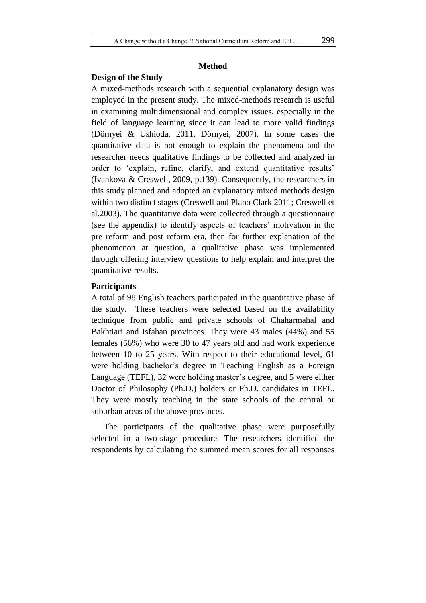## **Method**

### **Design of the Study**

A mixed-methods research with a sequential explanatory design was employed in the present study. The mixed-methods research is useful in examining multidimensional and complex issues, especially in the field of language learning since it can lead to more valid findings (Dörnyei & Ushioda, 2011, Dörnyei, 2007). In some cases the quantitative data is not enough to explain the phenomena and the researcher needs qualitative findings to be collected and analyzed in order to "explain, refine, clarify, and extend quantitative results" (Ivankova & Creswell, 2009, p.139). Consequently, the researchers in this study planned and adopted an explanatory mixed methods design within two distinct stages (Creswell and Plano Clark 2011; Creswell et al.2003). The quantitative data were collected through a questionnaire (see the appendix) to identify aspects of teachers' motivation in the pre reform and post reform era, then for further explanation of the phenomenon at question, a qualitative phase was implemented through offering interview questions to help explain and interpret the quantitative results.

# **Participants**

A total of 98 English teachers participated in the quantitative phase of the study. These teachers were selected based on the availability technique from public and private schools of Chaharmahal and Bakhtiari and Isfahan provinces. They were 43 males (44%) and 55 females (56%) who were 30 to 47 years old and had work experience between 10 to 25 years. With respect to their educational level, 61 were holding bachelor"s degree in Teaching English as a Foreign Language (TEFL), 32 were holding master's degree, and 5 were either Doctor of Philosophy (Ph.D.) holders or Ph.D. candidates in TEFL. They were mostly teaching in the state schools of the central or suburban areas of the above provinces.

The participants of the qualitative phase were purposefully selected in a two-stage procedure. The researchers identified the respondents by calculating the summed mean scores for all responses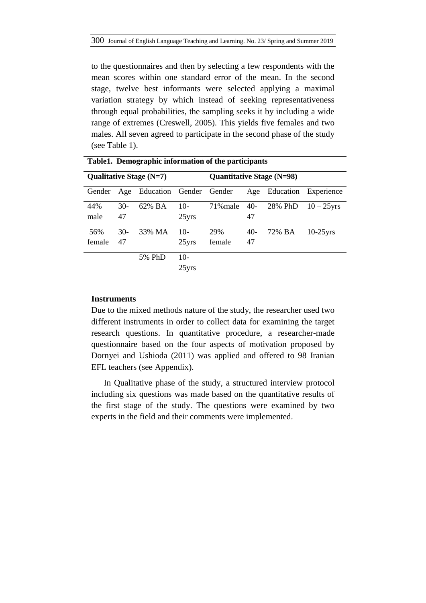to the questionnaires and then by selecting a few respondents with the mean scores within one standard error of the mean. In the second stage, twelve best informants were selected applying a maximal variation strategy by which instead of seeking representativeness through equal probabilities, the sampling seeks it by including a wide range of extremes (Creswell, 2005). This yields five females and two males. All seven agreed to participate in the second phase of the study (see Table 1).

|        |       | Qualitative Stage $(N=7)$   |          | Quantitative Stage (N=98) |       |         |                      |  |  |
|--------|-------|-----------------------------|----------|---------------------------|-------|---------|----------------------|--|--|
| Gender |       | Age Education Gender Gender |          |                           | Age   |         | Education Experience |  |  |
| 44%    | $30-$ | 62% BA                      | $10-$    | 71% male                  | $40-$ | 28% PhD | $10 - 25$ yrs        |  |  |
| male   | 47    |                             | $25$ yrs |                           | 47    |         |                      |  |  |
| 56%    | $30-$ | 33% MA                      | $10-$    | 29%                       | $40-$ | 72% BA  | $10-25$ yrs          |  |  |
| female | 47    |                             | $25$ yrs | female                    | 47    |         |                      |  |  |
|        |       | 5% PhD                      | $10-$    |                           |       |         |                      |  |  |
|        |       |                             | $25$ yrs |                           |       |         |                      |  |  |

**Table1. Demographic information of the participants**

# **Instruments**

Due to the mixed methods nature of the study, the researcher used two different instruments in order to collect data for examining the target research questions. In quantitative procedure, a researcher-made questionnaire based on the four aspects of motivation proposed by Dornyei and Ushioda (2011) was applied and offered to 98 Iranian EFL teachers (see Appendix).

In Qualitative phase of the study, a structured interview protocol including six questions was made based on the quantitative results of the first stage of the study. The questions were examined by two experts in the field and their comments were implemented.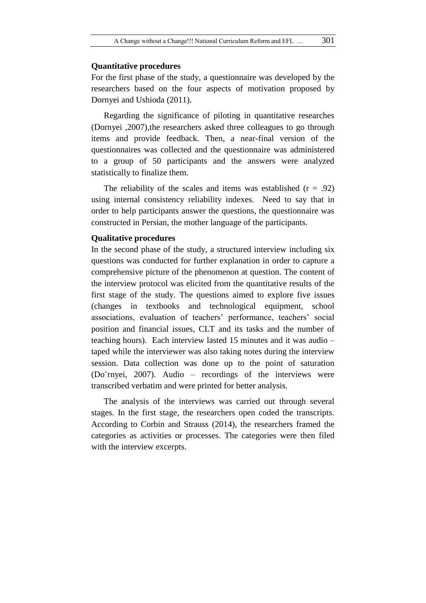# **Quantitative procedures**

For the first phase of the study, a questionnaire was developed by the researchers based on the four aspects of motivation proposed by Dornyei and Ushioda (2011).

Regarding the significance of piloting in quantitative researches (Dornyei ,2007),the researchers asked three colleagues to go through items and provide feedback. Then, a near-final version of the questionnaires was collected and the questionnaire was administered to a group of 50 participants and the answers were analyzed statistically to finalize them.

The reliability of the scales and items was established  $(r = .92)$ using internal consistency reliability indexes. Need to say that in order to help participants answer the questions, the questionnaire was constructed in Persian, the mother language of the participants.

# **Qualitative procedures**

In the second phase of the study, a structured interview including six questions was conducted for further explanation in order to capture a comprehensive picture of the phenomenon at question. The content of the interview protocol was elicited from the quantitative results of the first stage of the study. The questions aimed to explore five issues (changes in textbooks and technological equipment, school associations, evaluation of teachers' performance, teachers' social position and financial issues, CLT and its tasks and the number of teaching hours). Each interview lasted 15 minutes and it was audio – taped while the interviewer was also taking notes during the interview session. Data collection was done up to the point of saturation (Do¨rnyei, 2007). Audio – recordings of the interviews were transcribed verbatim and were printed for better analysis.

The analysis of the interviews was carried out through several stages. In the first stage, the researchers open coded the transcripts. According to Corbin and Strauss (2014), the researchers framed the categories as activities or processes. The categories were then filed with the interview excerpts.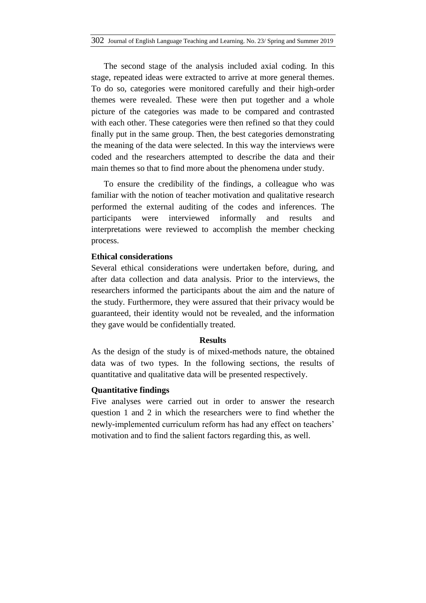The second stage of the analysis included axial coding. In this stage, repeated ideas were extracted to arrive at more general themes. To do so, categories were monitored carefully and their high-order themes were revealed. These were then put together and a whole picture of the categories was made to be compared and contrasted with each other. These categories were then refined so that they could finally put in the same group. Then, the best categories demonstrating the meaning of the data were selected. In this way the interviews were coded and the researchers attempted to describe the data and their main themes so that to find more about the phenomena under study.

To ensure the credibility of the findings, a colleague who was familiar with the notion of teacher motivation and qualitative research performed the external auditing of the codes and inferences. The participants were interviewed informally and results and interpretations were reviewed to accomplish the member checking process.

# **Ethical considerations**

Several ethical considerations were undertaken before, during, and after data collection and data analysis. Prior to the interviews, the researchers informed the participants about the aim and the nature of the study. Furthermore, they were assured that their privacy would be guaranteed, their identity would not be revealed, and the information they gave would be confidentially treated.

## **Results**

As the design of the study is of mixed-methods nature, the obtained data was of two types. In the following sections, the results of quantitative and qualitative data will be presented respectively.

# **Quantitative findings**

Five analyses were carried out in order to answer the research question 1 and 2 in which the researchers were to find whether the newly-implemented curriculum reform has had any effect on teachers' motivation and to find the salient factors regarding this, as well.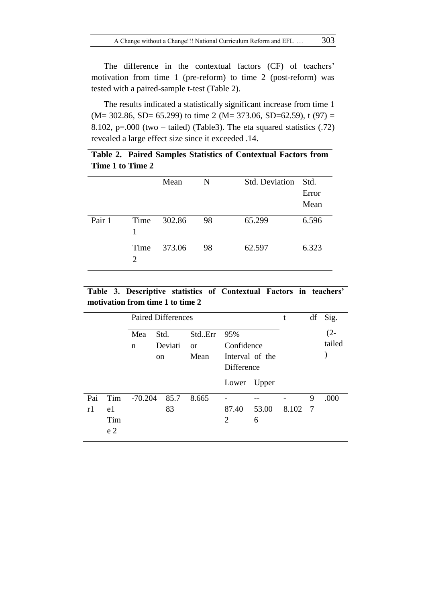The difference in the contextual factors (CF) of teachers' motivation from time 1 (pre-reform) to time 2 (post-reform) was tested with a paired-sample t-test (Table 2).

The results indicated a statistically significant increase from time 1  $(M= 302.86, SD= 65.299)$  to time 2  $(M= 373.06, SD=62.59)$ , t  $(97)$  = 8.102, p=.000 (two – tailed) (Table3). The eta squared statistics (.72) revealed a large effect size since it exceeded .14.

|                  |  |  | Table 2. Paired Samples Statistics of Contextual Factors from |  |
|------------------|--|--|---------------------------------------------------------------|--|
| Time 1 to Time 2 |  |  |                                                               |  |

|        |                                | Mean   | N  | Std. Deviation Std. | Error<br>Mean |
|--------|--------------------------------|--------|----|---------------------|---------------|
| Pair 1 | Time<br>1                      | 302.86 | 98 | 65.299              | 6.596         |
|        | Time<br>$\mathfrak{D}_{\cdot}$ | 373.06 | 98 | 62.597              | 6.323         |

**Table 3. Descriptive statistics of Contextual Factors in teachers' motivation from time 1 to time 2**

|           |                                    |           |                       | <b>Paired Differences</b> |                             |                                                    |            | t       | df | Sig.             |
|-----------|------------------------------------|-----------|-----------------------|---------------------------|-----------------------------|----------------------------------------------------|------------|---------|----|------------------|
|           |                                    | Mea<br>n  | Std.<br><sub>on</sub> | Deviati                   | StdErr<br><b>or</b><br>Mean | 95%<br>Confidence<br>Interval of the<br>Difference |            |         |    | $(2 -$<br>tailed |
|           |                                    |           |                       |                           |                             | Lower Upper                                        |            |         |    |                  |
| Pai<br>r1 | Tim<br>e1<br>Tim<br>e <sub>2</sub> | $-70.204$ |                       | 85.7<br>83                | 8.665                       | 87.40<br>2                                         | 53.00<br>6 | 8.102 7 | 9  | .000             |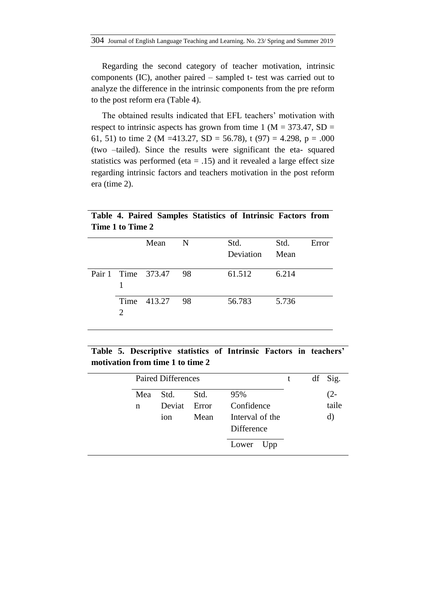Regarding the second category of teacher motivation, intrinsic components (IC), another paired – sampled t- test was carried out to analyze the difference in the intrinsic components from the pre reform to the post reform era (Table 4).

The obtained results indicated that EFL teachers' motivation with respect to intrinsic aspects has grown from time 1 ( $M = 373.47$ , SD = 61, 51) to time 2 (M = 413.27, SD = 56.78), t (97) = 4.298, p = .000 (two –tailed). Since the results were significant the eta- squared statistics was performed (eta  $= .15$ ) and it revealed a large effect size regarding intrinsic factors and teachers motivation in the post reform era (time 2).

| 1 MAC 1 AV 1 MAC 2          |                       |             |           |       |       |
|-----------------------------|-----------------------|-------------|-----------|-------|-------|
|                             | Mean                  | $\mathbf N$ | Std.      | Std.  | Error |
|                             |                       |             | Deviation | Mean  |       |
|                             | Pair 1 Time 373.47 98 |             | 61.512    | 6.214 |       |
| $\mathcal{D}_{\mathcal{L}}$ | Time 413.27           | 98          | 56.783    | 5.736 |       |

**Table 4. Paired Samples Statistics of Intrinsic Factors from Time 1 to Time 2**

|  | Table 5. Descriptive statistics of Intrinsic Factors in teachers' |  |  |  |
|--|-------------------------------------------------------------------|--|--|--|
|  | motivation from time 1 to time 2                                  |  |  |  |

|   |     | <b>Paired Differences</b> |       |                               |  |         |
|---|-----|---------------------------|-------|-------------------------------|--|---------|
|   |     |                           |       |                               |  | df Sig. |
|   | Mea | Std.                      | Std.  | 95%                           |  | (2-     |
| n |     | Deviat                    | Error | Confidence                    |  | taile   |
|   |     | ion                       | Mean  | Interval of the<br>Difference |  | d)      |
|   |     |                           |       | Upp<br>Lower                  |  |         |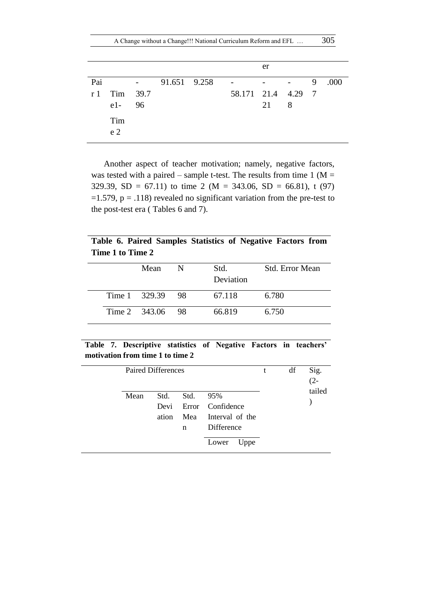|     |                                                |                                                   |              |                    | er |                          |   |      |
|-----|------------------------------------------------|---------------------------------------------------|--------------|--------------------|----|--------------------------|---|------|
| Pai |                                                | $\frac{1}{2}$ and $\frac{1}{2}$ and $\frac{1}{2}$ | 91.651 9.258 |                    |    | $\overline{\phantom{a}}$ | 9 | .000 |
| r 1 | Tim 39.7<br>$e1 - 96$<br>Tim<br>e <sub>2</sub> |                                                   |              | 58.171 21.4 4.29 7 | 21 | 8                        |   |      |

Another aspect of teacher motivation; namely, negative factors, was tested with a paired – sample t-test. The results from time  $1 (M =$ 329.39, SD = 67.11) to time 2 (M = 343.06, SD = 66.81), t (97)  $=1.579$ ,  $p = .118$ ) revealed no significant variation from the pre-test to the post-test era ( Tables 6 and 7).

**Table 6. Paired Samples Statistics of Negative Factors from Time 1 to Time 2**

|  | Mean             | N | Std.<br>Deviation | <b>Std. Error Mean</b> |
|--|------------------|---|-------------------|------------------------|
|  | Time 1 329.39 98 |   | 67.118            | 6.780                  |
|  | Time 2 343.06 98 |   | 66.819            | 6.750                  |

# **Table 7. Descriptive statistics of Negative Factors in teachers' motivation from time 1 to time 2**

| Paired Differences |                       |                  |                                                                           | t | df | Sig.<br>$(2 -$ |
|--------------------|-----------------------|------------------|---------------------------------------------------------------------------|---|----|----------------|
| Mean               | Std.<br>Devi<br>ation | Std.<br>Mea<br>n | 95%<br>Error Confidence<br>Interval of the<br>Difference<br>Lower<br>Uppe |   |    | tailed         |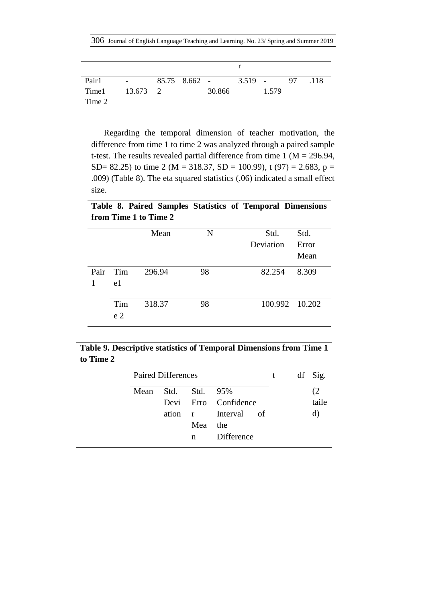306 Journal of English Language Teaching and Learning. No. 23/ Spring and Summer 2019

| Pair1<br>Time 13.673 2<br>Time 2 | <b>Contract Contract</b> |  | $85.75 \t8.662 - 3.519 -$<br>30.866 | 1.579 | 97 118 |
|----------------------------------|--------------------------|--|-------------------------------------|-------|--------|

Regarding the temporal dimension of teacher motivation, the difference from time 1 to time 2 was analyzed through a paired sample t-test. The results revealed partial difference from time 1 ( $M = 296.94$ , SD= 82.25) to time 2 (M = 318.37, SD = 100.99), t (97) = 2.683, p = .009) (Table 8). The eta squared statistics (.06) indicated a small effect size.

**Table 8. Paired Samples Statistics of Temporal Dimensions from Time 1 to Time 2**

|      |                | Mean   | N  | Std.<br>Deviation | Std.<br>Error |
|------|----------------|--------|----|-------------------|---------------|
|      |                |        |    |                   | Mean          |
|      |                |        |    |                   |               |
| Pair | Tim            | 296.94 | 98 | 82.254            | 8.309         |
| 1    | e1             |        |    |                   |               |
|      |                |        |    |                   |               |
|      | Tim            | 318.37 | 98 | 100.992 10.202    |               |
|      | e <sub>2</sub> |        |    |                   |               |

**Table 9. Descriptive statistics of Temporal Dimensions from Time 1 to Time 2**

|      | <b>Paired Differences</b> |               |                      | t. | df Sig. |
|------|---------------------------|---------------|----------------------|----|---------|
| Mean |                           | Std. Std. 95% |                      |    | (2)     |
|      |                           |               | Devi Erro Confidence |    | taile   |
|      |                           |               | ation r Interval of  |    | d)      |
|      |                           | Mea           | the                  |    |         |
|      |                           | n             | Difference           |    |         |
|      |                           |               |                      |    |         |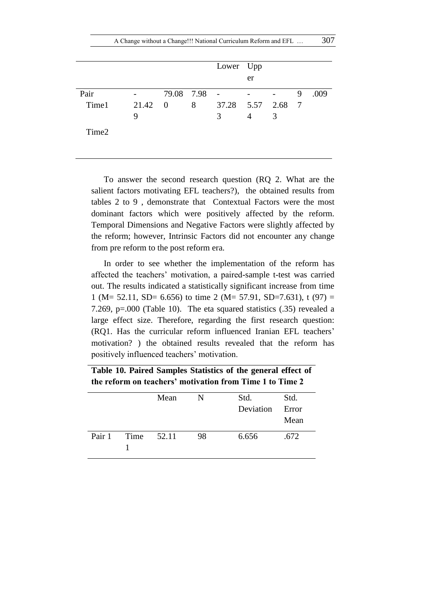|       |       |              |   | Lower Upp               | er                       |   |   |      |
|-------|-------|--------------|---|-------------------------|--------------------------|---|---|------|
| Pair  |       | 79.08 7.98 - |   |                         | <b>Contract Contract</b> |   | 9 | .009 |
| Time1 | 21.42 | $\mathbf{0}$ | 8 | 37.28   5.57   2.68   7 |                          |   |   |      |
|       | 9     |              |   | 3                       |                          | 3 |   |      |
| Time2 |       |              |   |                         |                          |   |   |      |

To answer the second research question (RQ 2. What are the salient factors motivating EFL teachers?), the obtained results from tables 2 to 9 , demonstrate that Contextual Factors were the most dominant factors which were positively affected by the reform. Temporal Dimensions and Negative Factors were slightly affected by the reform; however, Intrinsic Factors did not encounter any change from pre reform to the post reform era.

In order to see whether the implementation of the reform has affected the teachers" motivation, a paired-sample t-test was carried out. The results indicated a statistically significant increase from time 1 (M= 52.11, SD= 6.656) to time 2 (M= 57.91, SD=7.631), t (97) = 7.269, p=.000 (Table 10). The eta squared statistics (.35) revealed a large effect size. Therefore, regarding the first research question: (RQ1. Has the curricular reform influenced Iranian EFL teachers" motivation? ) the obtained results revealed that the reform has positively influenced teachers' motivation.

**Table 10. Paired Samples Statistics of the general effect of the reform on teachers' motivation from Time 1 to Time 2**

|        |            | Mean | N  | Std.      | Std.  |
|--------|------------|------|----|-----------|-------|
|        |            |      |    | Deviation | Error |
|        |            |      |    |           | Mean  |
| Pair 1 | Time 52.11 |      | 98 | 6.656     | .672  |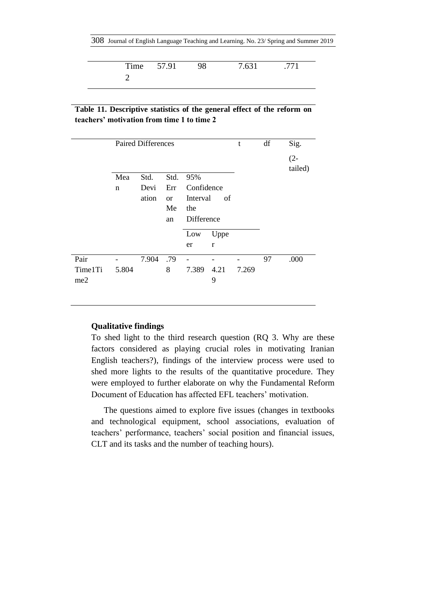308 Journal of English Language Teaching and Learning. No. 23/ Spring and Summer 2019

|  | Time 57.91 | - 98 | 7.631 | .771 |
|--|------------|------|-------|------|
|  |            |      |       |      |

# **Table 11. Descriptive statistics of the general effect of the reform on teachers' motivation from time 1 to time 2**

|         |       | <b>Paired Differences</b> |               |            |              | t     | df | Sig.    |
|---------|-------|---------------------------|---------------|------------|--------------|-------|----|---------|
|         |       |                           |               |            |              |       |    | $(2 -$  |
|         |       |                           |               |            |              |       |    | tailed) |
|         | Mea   | Std.                      | Std.          | 95%        |              |       |    |         |
|         | n     | Devi                      | Err           | Confidence |              |       |    |         |
|         |       | ation                     | <sub>or</sub> | Interval   | of           |       |    |         |
|         |       |                           | Me            | the        |              |       |    |         |
|         |       |                           | an            | Difference |              |       |    |         |
|         |       |                           |               | Low        | Uppe         |       |    |         |
|         |       |                           |               | er         | $\mathbf{r}$ |       |    |         |
| Pair    |       | 7.904                     | .79           | -          | -            | -     | 97 | .000    |
| Time1Ti | 5.804 |                           | 8             | 7.389      | 4.21         | 7.269 |    |         |
| me2     |       |                           |               |            | 9            |       |    |         |

# **Qualitative findings**

To shed light to the third research question (RQ 3. Why are these factors considered as playing crucial roles in motivating Iranian English teachers?), findings of the interview process were used to shed more lights to the results of the quantitative procedure. They were employed to further elaborate on why the Fundamental Reform Document of Education has affected EFL teachers' motivation.

The questions aimed to explore five issues (changes in textbooks and technological equipment, school associations, evaluation of teachers" performance, teachers" social position and financial issues, CLT and its tasks and the number of teaching hours).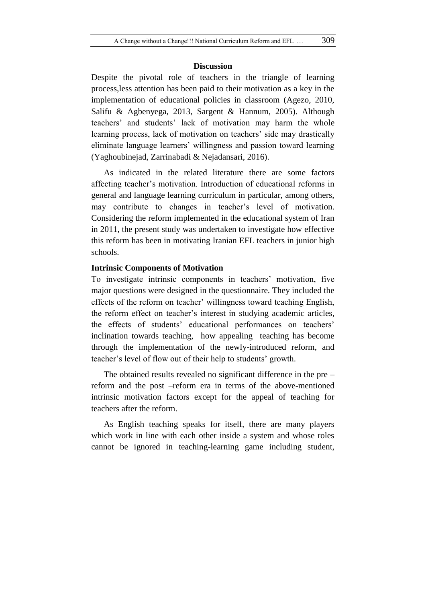#### **Discussion**

Despite the pivotal role of teachers in the triangle of learning process,less attention has been paid to their motivation as a key in the implementation of educational policies in classroom (Agezo, 2010, Salifu & Agbenyega, 2013, Sargent & Hannum, 2005). Although teachers" and students" lack of motivation may harm the whole learning process, lack of motivation on teachers' side may drastically eliminate language learners" willingness and passion toward learning (Yaghoubinejad, Zarrinabadi & Nejadansari, 2016).

As indicated in the related literature there are some factors affecting teacher"s motivation. Introduction of educational reforms in general and language learning curriculum in particular, among others, may contribute to changes in teacher's level of motivation. Considering the reform implemented in the educational system of Iran in 2011, the present study was undertaken to investigate how effective this reform has been in motivating Iranian EFL teachers in junior high schools.

# **Intrinsic Components of Motivation**

To investigate intrinsic components in teachers" motivation, five major questions were designed in the questionnaire. They included the effects of the reform on teacher' willingness toward teaching English, the reform effect on teacher"s interest in studying academic articles, the effects of students' educational performances on teachers' inclination towards teaching, how appealing teaching has become through the implementation of the newly-introduced reform, and teacher's level of flow out of their help to students' growth.

The obtained results revealed no significant difference in the pre – reform and the post –reform era in terms of the above-mentioned intrinsic motivation factors except for the appeal of teaching for teachers after the reform.

As English teaching speaks for itself, there are many players which work in line with each other inside a system and whose roles cannot be ignored in teaching-learning game including student,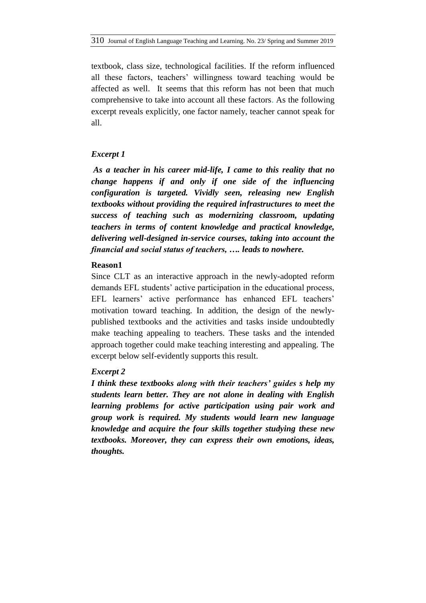textbook, class size, technological facilities. If the reform influenced all these factors, teachers" willingness toward teaching would be affected as well. It seems that this reform has not been that much comprehensive to take into account all these factors. As the following excerpt reveals explicitly, one factor namely, teacher cannot speak for all.

# *Excerpt 1*

*As a teacher in his career mid-life, I came to this reality that no change happens if and only if one side of the influencing configuration is targeted. Vividly seen, releasing new English textbooks without providing the required infrastructures to meet the success of teaching such as modernizing classroom, updating teachers in terms of content knowledge and practical knowledge, delivering well-designed in-service courses, taking into account the financial and social status of teachers, …. leads to nowhere.*

# **Reason1**

Since CLT as an interactive approach in the newly-adopted reform demands EFL students' active participation in the educational process, EFL learners' active performance has enhanced EFL teachers' motivation toward teaching. In addition, the design of the newlypublished textbooks and the activities and tasks inside undoubtedly make teaching appealing to teachers. These tasks and the intended approach together could make teaching interesting and appealing. The excerpt below self-evidently supports this result.

# *Excerpt 2*

*I think these textbooks along with their teachers' guides s help my students learn better. They are not alone in dealing with English learning problems for active participation using pair work and group work is required. My students would learn new language knowledge and acquire the four skills together studying these new textbooks. Moreover, they can express their own emotions, ideas, thoughts.*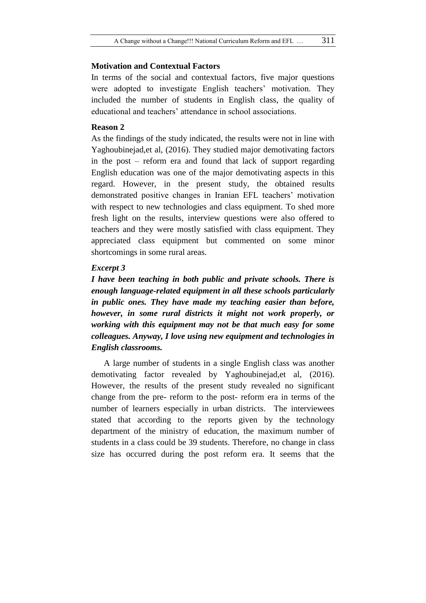# **Motivation and Contextual Factors**

In terms of the social and contextual factors, five major questions were adopted to investigate English teachers' motivation. They included the number of students in English class, the quality of educational and teachers' attendance in school associations.

# **Reason 2**

As the findings of the study indicated, the results were not in line with Yaghoubinejad,et al, (2016). They studied major demotivating factors in the post – reform era and found that lack of support regarding English education was one of the major demotivating aspects in this regard. However, in the present study, the obtained results demonstrated positive changes in Iranian EFL teachers' motivation with respect to new technologies and class equipment. To shed more fresh light on the results, interview questions were also offered to teachers and they were mostly satisfied with class equipment. They appreciated class equipment but commented on some minor shortcomings in some rural areas.

#### *Excerpt 3*

*I have been teaching in both public and private schools. There is enough language-related equipment in all these schools particularly in public ones. They have made my teaching easier than before, however, in some rural districts it might not work properly, or working with this equipment may not be that much easy for some colleagues. Anyway, I love using new equipment and technologies in English classrooms.*

A large number of students in a single English class was another demotivating factor revealed by Yaghoubinejad,et al, (2016). However, the results of the present study revealed no significant change from the pre- reform to the post- reform era in terms of the number of learners especially in urban districts. The interviewees stated that according to the reports given by the technology department of the ministry of education, the maximum number of students in a class could be 39 students. Therefore, no change in class size has occurred during the post reform era. It seems that the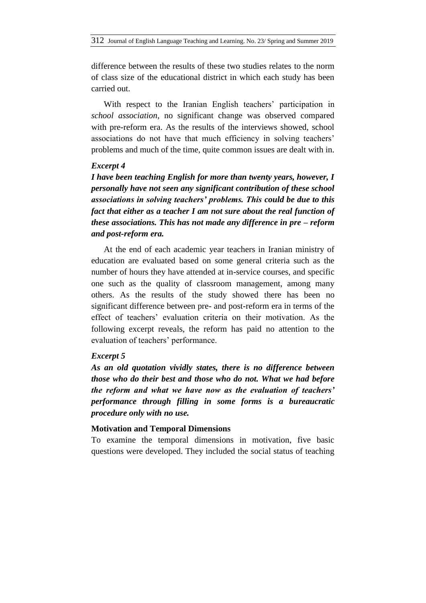difference between the results of these two studies relates to the norm of class size of the educational district in which each study has been carried out.

With respect to the Iranian English teachers' participation in *school association,* no significant change was observed compared with pre-reform era. As the results of the interviews showed, school associations do not have that much efficiency in solving teachers' problems and much of the time, quite common issues are dealt with in.

## *Excerpt 4*

*I have been teaching English for more than twenty years, however, I personally have not seen any significant contribution of these school associations in solving teachers' problems. This could be due to this fact that either as a teacher I am not sure about the real function of these associations. This has not made any difference in pre – reform and post-reform era.* 

At the end of each academic year teachers in Iranian ministry of education are evaluated based on some general criteria such as the number of hours they have attended at in-service courses, and specific one such as the quality of classroom management, among many others. As the results of the study showed there has been no significant difference between pre- and post-reform era in terms of the effect of teachers' evaluation criteria on their motivation. As the following excerpt reveals, the reform has paid no attention to the evaluation of teachers' performance.

# *Excerpt 5*

*As an old quotation vividly states, there is no difference between those who do their best and those who do not. What we had before the reform and what we have now as the evaluation of teachers' performance through filling in some forms is a bureaucratic procedure only with no use.* 

#### **Motivation and Temporal Dimensions**

To examine the temporal dimensions in motivation, five basic questions were developed. They included the social status of teaching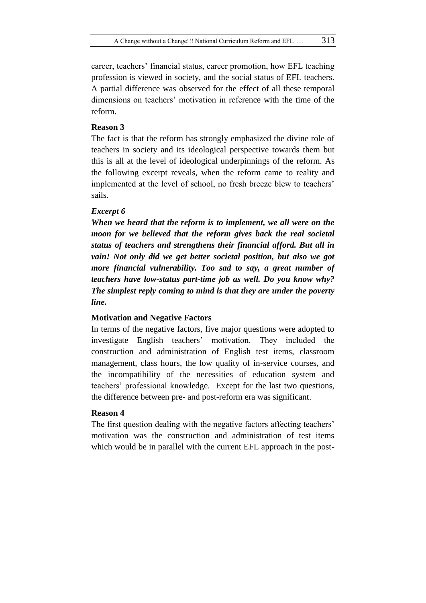career, teachers" financial status, career promotion, how EFL teaching profession is viewed in society, and the social status of EFL teachers. A partial difference was observed for the effect of all these temporal dimensions on teachers' motivation in reference with the time of the reform.

## **Reason 3**

The fact is that the reform has strongly emphasized the divine role of teachers in society and its ideological perspective towards them but this is all at the level of ideological underpinnings of the reform. As the following excerpt reveals, when the reform came to reality and implemented at the level of school, no fresh breeze blew to teachers' sails.

#### *Excerpt 6*

*When we heard that the reform is to implement, we all were on the moon for we believed that the reform gives back the real societal status of teachers and strengthens their financial afford. But all in vain! Not only did we get better societal position, but also we got more financial vulnerability. Too sad to say, a great number of teachers have low-status part-time job as well. Do you know why? The simplest reply coming to mind is that they are under the poverty line.* 

## **Motivation and Negative Factors**

In terms of the negative factors, five major questions were adopted to investigate English teachers" motivation. They included the construction and administration of English test items, classroom management, class hours, the low quality of in-service courses, and the incompatibility of the necessities of education system and teachers" professional knowledge. Except for the last two questions, the difference between pre- and post-reform era was significant.

## **Reason 4**

The first question dealing with the negative factors affecting teachers' motivation was the construction and administration of test items which would be in parallel with the current EFL approach in the post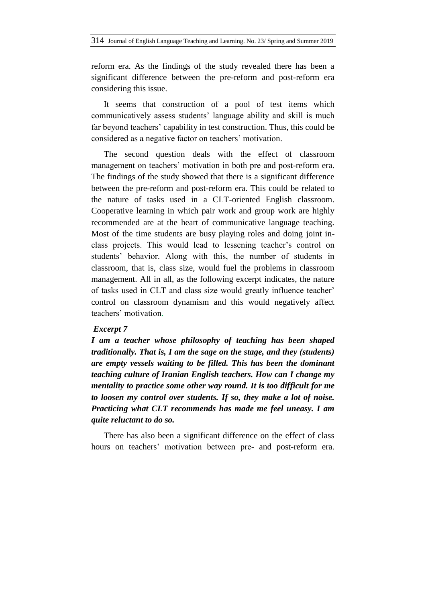reform era. As the findings of the study revealed there has been a significant difference between the pre-reform and post-reform era considering this issue.

It seems that construction of a pool of test items which communicatively assess students" language ability and skill is much far beyond teachers' capability in test construction. Thus, this could be considered as a negative factor on teachers' motivation.

The second question deals with the effect of classroom management on teachers' motivation in both pre and post-reform era. The findings of the study showed that there is a significant difference between the pre-reform and post-reform era. This could be related to the nature of tasks used in a CLT-oriented English classroom. Cooperative learning in which pair work and group work are highly recommended are at the heart of communicative language teaching. Most of the time students are busy playing roles and doing joint inclass projects. This would lead to lessening teacher"s control on students" behavior. Along with this, the number of students in classroom, that is, class size, would fuel the problems in classroom management. All in all, as the following excerpt indicates, the nature of tasks used in CLT and class size would greatly influence teacher" control on classroom dynamism and this would negatively affect teachers" motivation.

#### *Excerpt 7*

*I am a teacher whose philosophy of teaching has been shaped traditionally. That is, I am the sage on the stage, and they (students) are empty vessels waiting to be filled. This has been the dominant teaching culture of Iranian English teachers. How can I change my mentality to practice some other way round. It is too difficult for me to loosen my control over students. If so, they make a lot of noise. Practicing what CLT recommends has made me feel uneasy. I am quite reluctant to do so.* 

There has also been a significant difference on the effect of class hours on teachers' motivation between pre- and post-reform era.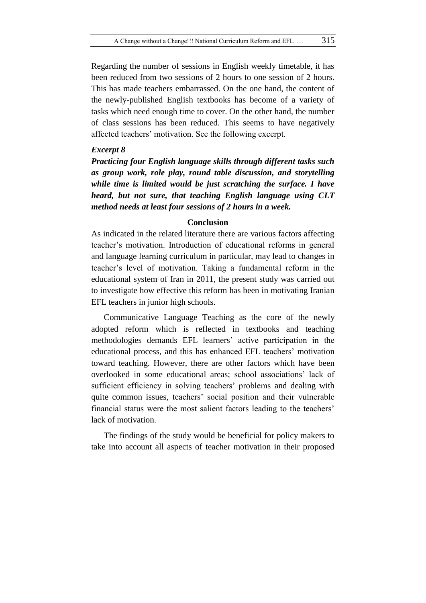Regarding the number of sessions in English weekly timetable, it has been reduced from two sessions of 2 hours to one session of 2 hours. This has made teachers embarrassed. On the one hand, the content of the newly-published English textbooks has become of a variety of tasks which need enough time to cover. On the other hand, the number of class sessions has been reduced. This seems to have negatively affected teachers' motivation. See the following excerpt.

#### *Excerpt 8*

*Practicing four English language skills through different tasks such as group work, role play, round table discussion, and storytelling while time is limited would be just scratching the surface. I have heard, but not sure, that teaching English language using CLT method needs at least four sessions of 2 hours in a week.* 

#### **Conclusion**

As indicated in the related literature there are various factors affecting teacher"s motivation. Introduction of educational reforms in general and language learning curriculum in particular, may lead to changes in teacher"s level of motivation. Taking a fundamental reform in the educational system of Iran in 2011, the present study was carried out to investigate how effective this reform has been in motivating Iranian EFL teachers in junior high schools.

Communicative Language Teaching as the core of the newly adopted reform which is reflected in textbooks and teaching methodologies demands EFL learners' active participation in the educational process, and this has enhanced EFL teachers' motivation toward teaching. However, there are other factors which have been overlooked in some educational areas; school associations" lack of sufficient efficiency in solving teachers' problems and dealing with quite common issues, teachers" social position and their vulnerable financial status were the most salient factors leading to the teachers" lack of motivation.

The findings of the study would be beneficial for policy makers to take into account all aspects of teacher motivation in their proposed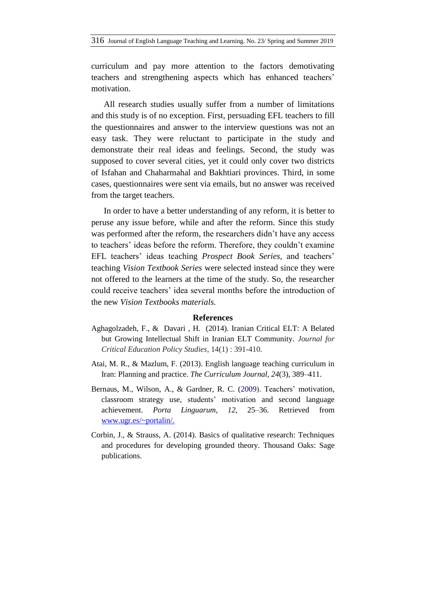curriculum and pay more attention to the factors demotivating teachers and strengthening aspects which has enhanced teachers" motivation.

All research studies usually suffer from a number of limitations and this study is of no exception. First, persuading EFL teachers to fill the questionnaires and answer to the interview questions was not an easy task. They were reluctant to participate in the study and demonstrate their real ideas and feelings. Second, the study was supposed to cover several cities, yet it could only cover two districts of Isfahan and Chaharmahal and Bakhtiari provinces. Third, in some cases, questionnaires were sent via emails, but no answer was received from the target teachers.

In order to have a better understanding of any reform, it is better to peruse any issue before, while and after the reform. Since this study was performed after the reform, the researchers didn't have any access to teachers' ideas before the reform. Therefore, they couldn't examine EFL teachers" ideas teaching *Prospect Book Series*, and teachers" teaching *Vision Textbook Series* were selected instead since they were not offered to the learners at the time of the study. So, the researcher could receive teachers" idea several months before the introduction of the new *Vision Textbooks materials.* 

#### **References**

- Aghagolzadeh, F., & Davari , H. (2014). Iranian Critical ELT: A Belated but Growing Intellectual Shift in Iranian ELT Community. *Journal for Critical Education Policy Studies*, 14(1) : 391-410.
- Atai, M. R., & Mazlum, F. (2013). English language teaching curriculum in Iran: Planning and practice. *The Curriculum Journal, 24*(3), 389–411.
- Bernaus, M., Wilson, A., & Gardner, R. C. (2009). Teachers' motivation, classroom strategy use, students" motivation and second language achievement. *Porta Linguarum, 12*, 25–36. Retrieved from [www.ugr.es/~portalin/.](http://www.ugr.es/~portalin/)
- Corbin, J., & Strauss, A. (2014). Basics of qualitative research: Techniques and procedures for developing grounded theory. Thousand Oaks: Sage publications.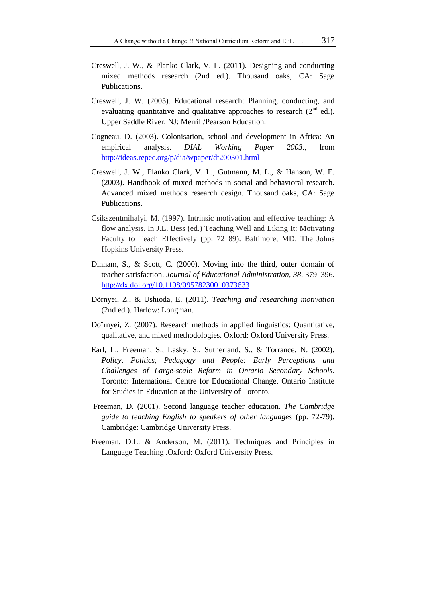- Creswell, J. W., & Planko Clark, V. L. (2011). Designing and conducting mixed methods research (2nd ed.). Thousand oaks, CA: Sage Publications.
- Creswell, J. W. (2005). Educational research: Planning, conducting, and evaluating quantitative and qualitative approaches to research  $(2^{nd}$  ed.). Upper Saddle River, NJ: Merrill/Pearson Education.
- Cogneau, D. (2003). Colonisation, school and development in Africa: An empirical analysis. *DIAL Working Paper 2003.*, from <http://ideas.repec.org/p/dia/wpaper/dt200301.html>
- Creswell, J. W., Planko Clark, V. L., Gutmann, M. L., & Hanson, W. E. (2003). Handbook of mixed methods in social and behavioral research. Advanced mixed methods research design. Thousand oaks, CA: Sage Publications.
- Csikszentmihalyi, M. (1997). Intrinsic motivation and effective teaching: A flow analysis. In J.L. Bess (ed.) Teaching Well and Liking It: Motivating Faculty to Teach Effectively (pp. 72\_89). Baltimore, MD: The Johns Hopkins University Press.
- Dinham, S., & Scott, C. (2000). Moving into the third, outer domain of teacher satisfaction. *Journal of Educational Administration, 38*, 379–396. <http://dx.doi.org/10.1108/09578230010373633>
- Dörnyei, Z., & Ushioda, E. (2011). *Teaching and researching motivation*  (2nd ed.). Harlow: Longman.
- Do¨rnyei, Z. (2007). Research methods in applied linguistics: Quantitative, qualitative, and mixed methodologies. Oxford: Oxford University Press.
- Earl, L., Freeman, S., Lasky, S., Sutherland, S., & Torrance, N. (2002). *Policy, Politics, Pedagogy and People: Early Perceptions and Challenges of Large-scale Reform in Ontario Secondary Schools*. Toronto: International Centre for Educational Change, Ontario Institute for Studies in Education at the University of Toronto.
- Freeman, D. (2001). Second language teacher education. *The Cambridge guide to teaching English to speakers of other languages* (pp. 72-79). Cambridge: Cambridge University Press.
- Freeman, D.L. & Anderson, M. (2011). Techniques and Principles in Language Teaching .Oxford: Oxford University Press.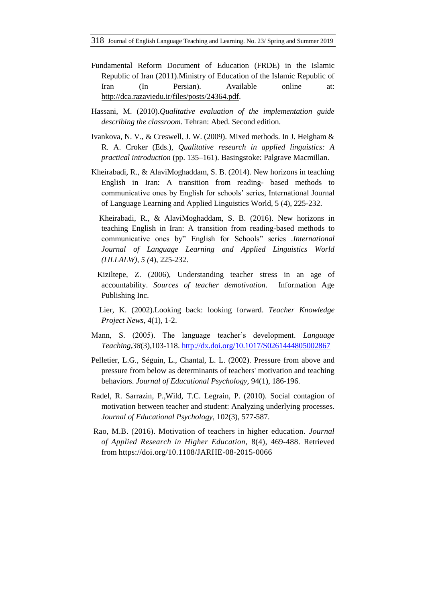- Fundamental Reform Document of Education (FRDE) in the Islamic Republic of Iran (2011).Ministry of Education of the Islamic Republic of Iran (In Persian). Available online at: [http://dca.razaviedu.ir/files/posts/24364.pdf.](http://dca.razaviedu.ir/files/posts/24364.pdf)
- Hassani, M. (2010).*Qualitative evaluation of the implementation guide describing the classroom.* Tehran: Abed. Second edition.
- Ivankova, N. V., & Creswell, J. W. (2009). Mixed methods. In J. Heigham & R. A. Croker (Eds.), *Qualitative research in applied linguistics: A practical introduction* (pp. 135–161). Basingstoke: Palgrave Macmillan.
- Kheirabadi, R., & AlaviMoghaddam, S. B. (2014). New horizons in teaching English in Iran: A transition from reading- based methods to communicative ones by English for schools" series, International Journal of Language Learning and Applied Linguistics World, 5 (4), 225-232.
	- Kheirabadi, R., & AlaviMoghaddam, S. B. (2016). New horizons in teaching English in Iran: A transition from reading-based methods to communicative ones by" English for Schools" series *.International Journal of Language Learning and Applied Linguistics World (IJLLALW), 5 (*4), 225-232.
	- Kiziltepe, Z. (2006), Understanding teacher stress in an age of accountability. *Sources of teacher demotivation*. Information Age Publishing Inc.
	- Lier, K. (2002).Looking back: looking forward. *Teacher Knowledge Project News*, 4(1), 1-2.
- Mann, S. (2005). The language teacher"s development. *Language Teaching,38*(3)*,*103-118.<http://dx.doi.org/10.1017/S0261444805002867>
- Pelletier, L.G., Séguin, L., Chantal, L. L. (2002). Pressure from above and pressure from below as determinants of teachers' motivation and teaching behaviors. *Journal of Educational Psychology,* 94(1), 186-196.
- Radel, R. Sarrazin, P.,Wild, T.C. Legrain, P. (2010). Social contagion of motivation between teacher and student: Analyzing underlying processes. *Journal of Educational Psychology,* 102(3), 577-587.
- [Rao,](https://www.emeraldinsight.com/author/Rao%2C+Madasu+Bhaskara) M.B. (2016). Motivation of teachers in higher education. *Journal of Applied Research in Higher Education,* 8(4), 469-488. Retrieved from<https://doi.org/10.1108/JARHE-08-2015-0066>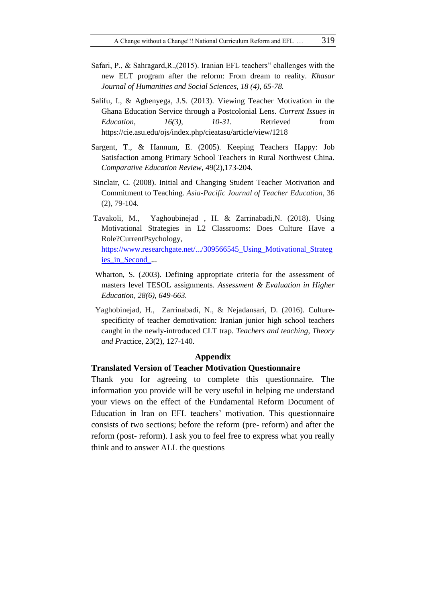- Safari, P., & Sahragard,R.,(2015). Iranian EFL teachers" challenges with the new ELT program after the reform: From dream to reality. *Khasar Journal of Humanities and Social Sciences, 18 (4), 65-78.*
- Salifu, I., & Agbenyega, J.S. (2013). Viewing Teacher Motivation in the Ghana Education Service through a Postcolonial Lens. *Current Issues in Education,* 16(3), 10-31. Retrieved from https://cie.asu.edu/ojs/index.php/cieatasu/article/view/1218
- Sargent, T., & Hannum, E. (2005). Keeping Teachers Happy: Job Satisfaction among Primary School Teachers in Rural Northwest China. *Comparative Education Review*, 49(2),173-204.
- Sinclair, C. (2008). Initial and Changing Student Teacher Motivation and Commitment to Teaching. *Asia-Pacific Journal of Teacher Education*, 36 (2), 79-104.
- Tavakoli, M., Yaghoubinejad , H. & Zarrinabadi,N. (2018). Using Motivational Strategies in L2 Classrooms: Does Culture Have a Role?CurrentPsychology, https://www.researchgate.net/.../309566545 Using Motivational Strateg [ies\\_in\\_Second\\_](https://www.researchgate.net/.../309566545_Using_Motivational_Strategies_in_Second_)*...*
- Wharton, S. (2003). Defining appropriate criteria for the assessment of masters level TESOL assignments. *Assessment & Evaluation in Higher Education, 28(6), 649-663.*
- Yaghobinejad, H., Zarrinabadi, N., & Nejadansari, D. (2016). Culturespecificity of teacher demotivation: Iranian junior high school teachers caught in the newly-introduced CLT trap. *Teachers and teaching, Theory and Pr*actice, 23(2), 127-140.

### **Appendix**

#### **Translated Version of Teacher Motivation Questionnaire**

Thank you for agreeing to complete this questionnaire. The information you provide will be very useful in helping me understand your views on the effect of the Fundamental Reform Document of Education in Iran on EFL teachers' motivation. This questionnaire consists of two sections; before the reform (pre- reform) and after the reform (post- reform). I ask you to feel free to express what you really think and to answer ALL the questions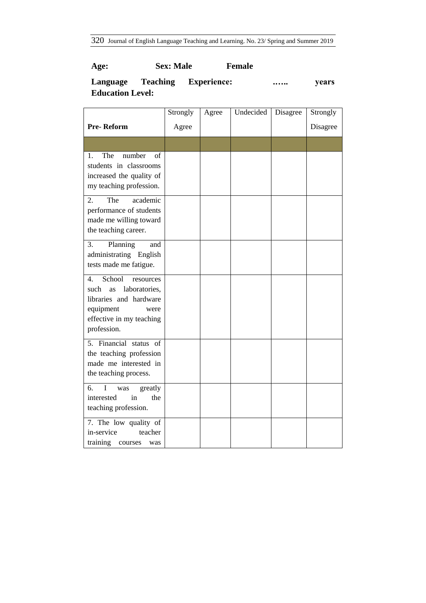320 Journal of English Language Teaching and Learning. No. 23/ Spring and Summer 2019

# **Age: Sex: Male Female**

# **Language Teaching Experience: .….. years Education Level:**

|                                                                                                                                                    | Strongly | Agree | Undecided | Disagree | Strongly |
|----------------------------------------------------------------------------------------------------------------------------------------------------|----------|-------|-----------|----------|----------|
| Pre-Reform                                                                                                                                         | Agree    |       |           |          | Disagree |
|                                                                                                                                                    |          |       |           |          |          |
| The<br>number<br>1.<br>of<br>students in classrooms<br>increased the quality of<br>my teaching profession.                                         |          |       |           |          |          |
| 2.<br>The<br>academic<br>performance of students<br>made me willing toward<br>the teaching career.                                                 |          |       |           |          |          |
| Planning<br>3.<br>and<br>administrating English<br>tests made me fatigue.                                                                          |          |       |           |          |          |
| School<br>4.<br>resources<br>laboratories,<br>such<br>as<br>libraries and hardware<br>equipment<br>were<br>effective in my teaching<br>profession. |          |       |           |          |          |
| 5. Financial status of<br>the teaching profession<br>made me interested in<br>the teaching process.                                                |          |       |           |          |          |
| 6.<br>$\mathbf I$<br>greatly<br>was<br>interested<br>in<br>the<br>teaching profession.                                                             |          |       |           |          |          |
| 7. The low quality of<br>in-service<br>teacher<br>training<br>courses<br>was                                                                       |          |       |           |          |          |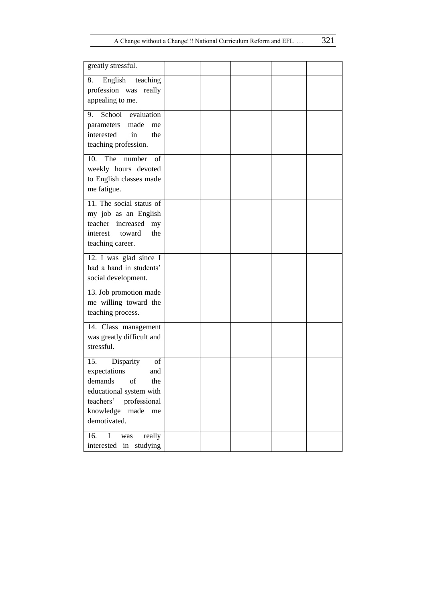| greatly stressful.                                                                                                                                              |  |  |  |
|-----------------------------------------------------------------------------------------------------------------------------------------------------------------|--|--|--|
| 8.<br>English<br>teaching<br>profession was<br>really<br>appealing to me.                                                                                       |  |  |  |
| School<br>evaluation<br>9.<br>made<br>parameters<br>me<br>interested<br>in<br>the<br>teaching profession.                                                       |  |  |  |
| The<br>number<br>10.<br>of<br>weekly hours devoted<br>to English classes made<br>me fatigue.                                                                    |  |  |  |
| 11. The social status of<br>my job as an English<br>teacher increased<br>my<br>the<br>interest<br>toward<br>teaching career.                                    |  |  |  |
| 12. I was glad since I<br>had a hand in students'<br>social development.                                                                                        |  |  |  |
| 13. Job promotion made<br>me willing toward the<br>teaching process.                                                                                            |  |  |  |
| 14. Class management<br>was greatly difficult and<br>stressful.                                                                                                 |  |  |  |
| 15.<br>Disparity<br>of<br>expectations<br>and<br>demands of<br>the<br>educational system with<br>teachers' professional<br>knowledge made<br>me<br>demotivated. |  |  |  |
| 16.<br>I<br>really<br>was<br>interested in studying                                                                                                             |  |  |  |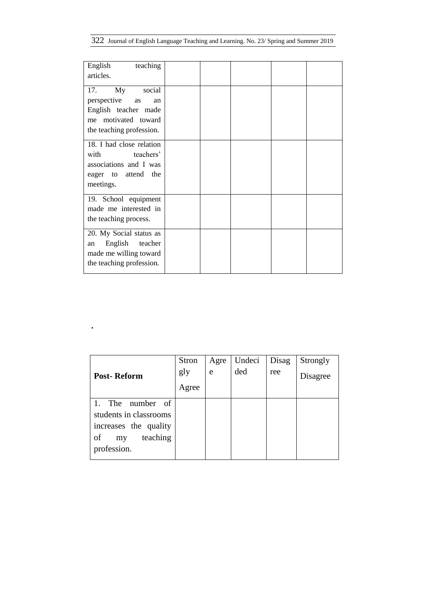322 Journal of English Language Teaching and Learning. No. 23/ Spring and Summer 2019

| English<br>teaching<br>articles.                                                                                          |  |  |
|---------------------------------------------------------------------------------------------------------------------------|--|--|
| social<br>17.<br>My<br>perspective<br>as<br>an<br>English teacher made<br>me motivated toward<br>the teaching profession. |  |  |
| 18. I had close relation<br>with<br>teachers'<br>associations and I was<br>eager to attend<br>the<br>meetings.            |  |  |
| 19. School equipment<br>made me interested in<br>the teaching process.                                                    |  |  |
| 20. My Social status as<br>English<br>teacher<br>an<br>made me willing toward<br>the teaching profession.                 |  |  |

|                                                                                                            | Stron | Agre | Undeci | Disag | Strongly |
|------------------------------------------------------------------------------------------------------------|-------|------|--------|-------|----------|
| <b>Post-Reform</b>                                                                                         | gly   | e    | ded    | ree   | Disagree |
|                                                                                                            | Agree |      |        |       |          |
| number of<br>The<br>students in classrooms<br>increases the quality<br>teaching<br>of<br>my<br>profession. |       |      |        |       |          |

**.**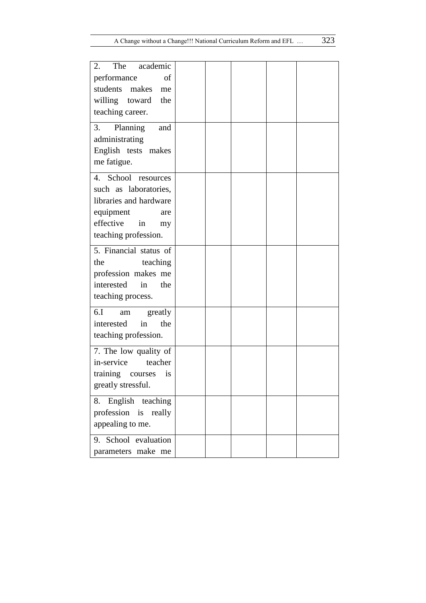| The<br>academic<br>2.      |  |  |  |
|----------------------------|--|--|--|
| performance<br>of          |  |  |  |
| students makes<br>me       |  |  |  |
| willing toward<br>the      |  |  |  |
| teaching career.           |  |  |  |
| 3.<br>and                  |  |  |  |
| Planning<br>administrating |  |  |  |
| English tests makes        |  |  |  |
| me fatigue.                |  |  |  |
|                            |  |  |  |
| 4. School resources        |  |  |  |
| such as laboratories,      |  |  |  |
| libraries and hardware     |  |  |  |
| equipment<br>are           |  |  |  |
| effective<br>in<br>my      |  |  |  |
| teaching profession.       |  |  |  |
| 5. Financial status of     |  |  |  |
| the<br>teaching            |  |  |  |
| profession makes me        |  |  |  |
| interested<br>the<br>in    |  |  |  |
| teaching process.          |  |  |  |
| 6.I<br>greatly<br>am       |  |  |  |
| interested<br>the<br>in    |  |  |  |
| teaching profession.       |  |  |  |
| 7. The low quality of      |  |  |  |
| in-service<br>teacher      |  |  |  |
| training courses<br>is     |  |  |  |
| greatly stressful.         |  |  |  |
|                            |  |  |  |
| English teaching<br>8.     |  |  |  |
| profession is really       |  |  |  |
| appealing to me.           |  |  |  |
| 9. School evaluation       |  |  |  |
| parameters make me         |  |  |  |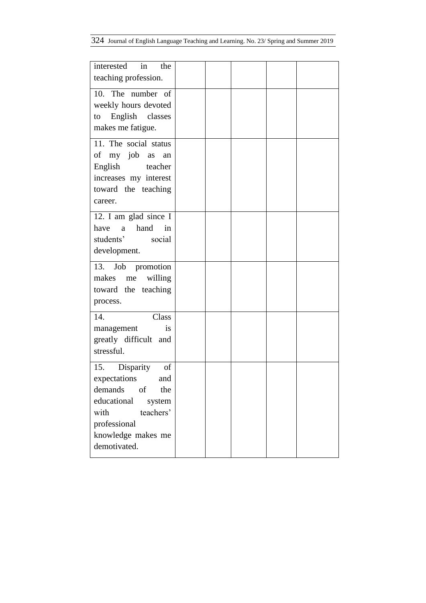| in<br>interested<br>the<br>teaching profession.                                                                                                                     |  |  |  |
|---------------------------------------------------------------------------------------------------------------------------------------------------------------------|--|--|--|
| 10. The number of<br>weekly hours devoted<br>English classes<br>to<br>makes me fatigue.                                                                             |  |  |  |
| 11. The social status<br>of my job as<br>an<br>English<br>teacher<br>increases my interest<br>toward the teaching<br>career.                                        |  |  |  |
| 12. I am glad since I<br>hand<br>have<br>a<br>in<br>students'<br>social<br>development.                                                                             |  |  |  |
| 13. Job promotion<br>makes me<br>willing<br>toward the teaching<br>process.                                                                                         |  |  |  |
| 14.<br>Class<br>management<br><i>is</i><br>greatly difficult and<br>stressful.                                                                                      |  |  |  |
| 15. Disparity<br>of<br>expectations and<br>demands<br>of<br>the<br>educational<br>system<br>teachers'<br>with<br>professional<br>knowledge makes me<br>demotivated. |  |  |  |